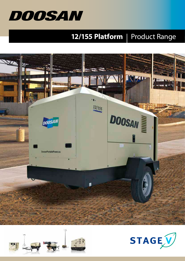

## **12/155 Platform** | Product Range